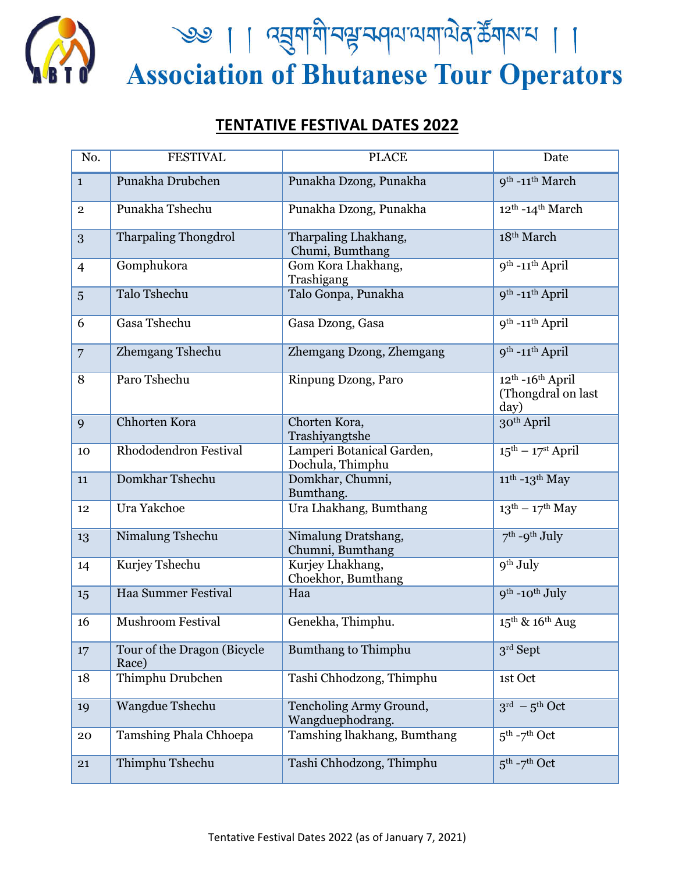

<u>२७ | । द्युयायी पश्चम्पयायाये</u> कुर्डेयारा | ।<br>Association of Bhutanese Tour Operators

## **TENTATIVE FESTIVAL DATES 2022**

| No.            | <b>FESTIVAL</b>                      | <b>PLACE</b>                                  | Date                                                            |
|----------------|--------------------------------------|-----------------------------------------------|-----------------------------------------------------------------|
| $\mathbf{1}$   | Punakha Drubchen                     | Punakha Dzong, Punakha                        | 9 <sup>th</sup> -11 <sup>th</sup> March                         |
| $\overline{2}$ | Punakha Tshechu                      | Punakha Dzong, Punakha                        | 12 <sup>th</sup> -14 <sup>th</sup> March                        |
| 3              | <b>Tharpaling Thongdrol</b>          | Tharpaling Lhakhang,<br>Chumi, Bumthang       | 18 <sup>th</sup> March                                          |
| $\overline{4}$ | Gomphukora                           | Gom Kora Lhakhang,<br>Trashigang              | 9 <sup>th</sup> -11 <sup>th</sup> April                         |
| 5              | <b>Talo Tshechu</b>                  | Talo Gonpa, Punakha                           | 9 <sup>th</sup> -11 <sup>th</sup> April                         |
| 6              | Gasa Tshechu                         | Gasa Dzong, Gasa                              | 9 <sup>th</sup> -11 <sup>th</sup> April                         |
| $\overline{7}$ | Zhemgang Tshechu                     | Zhemgang Dzong, Zhemgang                      | 9 <sup>th</sup> -11 <sup>th</sup> April                         |
| 8              | Paro Tshechu                         | Rinpung Dzong, Paro                           | $12^{th}$ -16 <sup>th</sup> April<br>(Thongdral on last<br>day) |
| 9              | Chhorten Kora                        | Chorten Kora,<br>Trashiyangtshe               | 30 <sup>th</sup> April                                          |
| 10             | Rhododendron Festival                | Lamperi Botanical Garden,<br>Dochula, Thimphu | $15^{\text{th}} - 17^{\text{st}}$ April                         |
| 11             | Domkhar Tshechu                      | Domkhar, Chumni,<br>Bumthang.                 | $11^{th}$ -13 <sup>th</sup> May                                 |
| 12             | Ura Yakchoe                          | Ura Lhakhang, Bumthang                        | $13^{th} - 17^{th}$ May                                         |
| 13             | Nimalung Tshechu                     | Nimalung Dratshang,<br>Chumni, Bumthang       | $7th$ -9 <sup>th</sup> July                                     |
| 14             | Kurjey Tshechu                       | Kurjey Lhakhang,<br>Choekhor, Bumthang        | 9 <sup>th</sup> July                                            |
| 15             | Haa Summer Festival                  | Haa                                           | $9^{th}$ -10 <sup>th</sup> July                                 |
| 16             | <b>Mushroom Festival</b>             | Genekha, Thimphu.                             | $15^{\text{th}}$ & $16^{\text{th}}$ Aug                         |
| 17             | Tour of the Dragon (Bicycle<br>Race) | <b>Bumthang to Thimphu</b>                    | $3rd$ Sept                                                      |
| 18             | Thimphu Drubchen                     | Tashi Chhodzong, Thimphu                      | 1st Oct                                                         |
| 19             | Wangdue Tshechu                      | Tencholing Army Ground,<br>Wangduephodrang.   | $3^{\text{rd}}$ – $5^{\text{th}}$ Oct                           |
| 20             | Tamshing Phala Chhoepa               | Tamshing lhakhang, Bumthang                   | $5^{\text{th}}$ -7 <sup>th</sup> Oct                            |
| 21             | Thimphu Tshechu                      | Tashi Chhodzong, Thimphu                      | $5^{\text{th}}$ -7 <sup>th</sup> Oct                            |